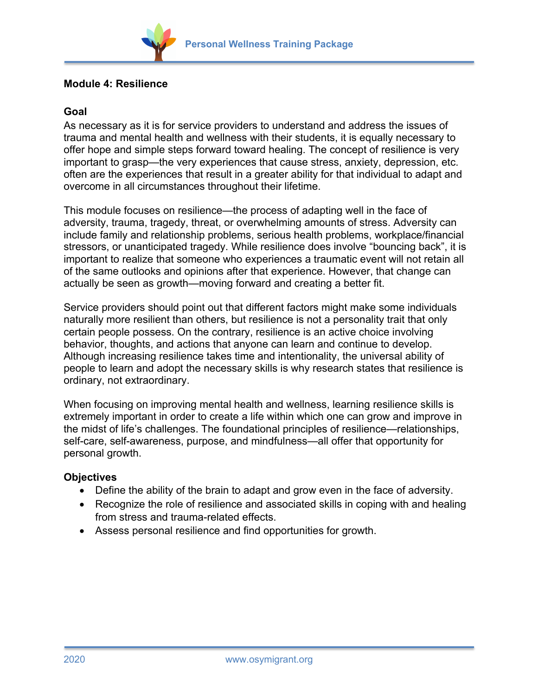

# **Module 4: Resilience**

## **Goal**

As necessary as it is for service providers to understand and address the issues of trauma and mental health and wellness with their students, it is equally necessary to offer hope and simple steps forward toward healing. The concept of resilience is very important to grasp—the very experiences that cause stress, anxiety, depression, etc. often are the experiences that result in a greater ability for that individual to adapt and overcome in all circumstances throughout their lifetime.

This module focuses on resilience—the process of adapting well in the face of adversity, trauma, tragedy, threat, or overwhelming amounts of stress. Adversity can include family and relationship problems, serious health problems, workplace/financial stressors, or unanticipated tragedy. While resilience does involve "bouncing back", it is important to realize that someone who experiences a traumatic event will not retain all of the same outlooks and opinions after that experience. However, that change can actually be seen as growth—moving forward and creating a better fit.

Service providers should point out that different factors might make some individuals naturally more resilient than others, but resilience is not a personality trait that only certain people possess. On the contrary, resilience is an active choice involving behavior, thoughts, and actions that anyone can learn and continue to develop. Although increasing resilience takes time and intentionality, the universal ability of people to learn and adopt the necessary skills is why research states that resilience is ordinary, not extraordinary.

When focusing on improving mental health and wellness, learning resilience skills is extremely important in order to create a life within which one can grow and improve in the midst of life's challenges. The foundational principles of resilience—relationships, self-care, self-awareness, purpose, and mindfulness—all offer that opportunity for personal growth.

## **Objectives**

- Define the ability of the brain to adapt and grow even in the face of adversity.
- Recognize the role of resilience and associated skills in coping with and healing from stress and trauma-related effects.
- Assess personal resilience and find opportunities for growth.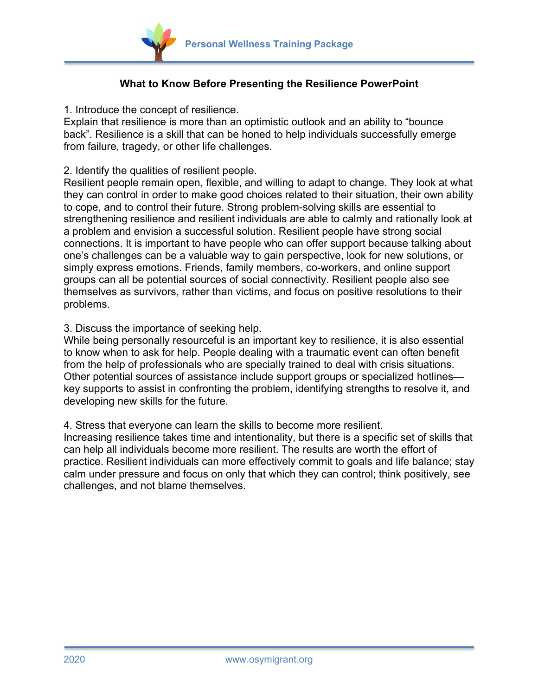

# **What to Know Before Presenting the Resilience PowerPoint**

1. Introduce the concept of resilience.

Explain that resilience is more than an optimistic outlook and an ability to "bounce back". Resilience is a skill that can be honed to help individuals successfully emerge from failure, tragedy, or other life challenges.

### 2. Identify the qualities of resilient people.

Resilient people remain open, flexible, and willing to adapt to change. They look at what they can control in order to make good choices related to their situation, their own ability to cope, and to control their future. Strong problem-solving skills are essential to strengthening resilience and resilient individuals are able to calmly and rationally look at a problem and envision a successful solution. Resilient people have strong social connections. It is important to have people who can offer support because talking about one's challenges can be a valuable way to gain perspective, look for new solutions, or simply express emotions. Friends, family members, co-workers, and online support groups can all be potential sources of social connectivity. Resilient people also see themselves as survivors, rather than victims, and focus on positive resolutions to their problems.

3. Discuss the importance of seeking help.

While being personally resourceful is an important key to resilience, it is also essential to know when to ask for help. People dealing with a traumatic event can often benefit from the help of professionals who are specially trained to deal with crisis situations. Other potential sources of assistance include support groups or specialized hotlines key supports to assist in confronting the problem, identifying strengths to resolve it, and developing new skills for the future.

4. Stress that everyone can learn the skills to become more resilient.

Increasing resilience takes time and intentionality, but there is a specific set of skills that can help all individuals become more resilient. The results are worth the effort of practice. Resilient individuals can more effectively commit to goals and life balance; stay calm under pressure and focus on only that which they can control; think positively, see challenges, and not blame themselves.